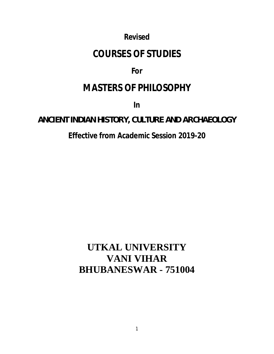*Revised*

# **COURSES OF STUDIES**

## **For**

# **MASTERS OF PHILOSOPHY**

**In**

## **ANCIENT INDIAN HISTORY, CULTURE AND ARCHAEOLOGY**

## **Effective from Academic Session 2019-20**

# **UTKAL UNIVERSITY VANI VIHAR BHUBANESWAR - 751004**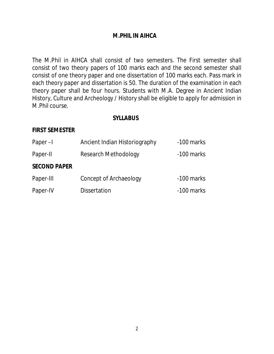## **M.PHIL IN AIHCA**

The M.Phil in AIHCA shall consist of two semesters. The First semester shall consist of two theory papers of 100 marks each and the second semester shall consist of one theory paper and one dissertation of 100 marks each. Pass mark in each theory paper and dissertation is 50. The duration of the examination in each theory paper shall be four hours. Students with M.A. Degree in Ancient Indian History, Culture and Archeology / History shall be eligible to apply for admission in M.Phil course.

### **SYLLABUS**

### **FIRST SEMESTER**

| Paper-I             | Ancient Indian Historiography | -100 marks |
|---------------------|-------------------------------|------------|
| Paper-II            | <b>Research Methodology</b>   | -100 marks |
| <b>SECOND PAPER</b> |                               |            |
| Paper-III           | Concept of Archaeology        | -100 marks |
| Paper-IV            | <b>Dissertation</b>           | -100 marks |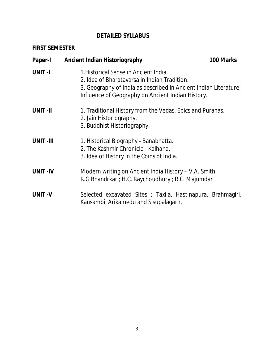## **DETAILED SYLLABUS**

## **FIRST SEMESTER**

| Paper-I         | <b>Ancient Indian Historiography</b>                                                                                      | 100 Marks                                                                                                             |  |  |
|-----------------|---------------------------------------------------------------------------------------------------------------------------|-----------------------------------------------------------------------------------------------------------------------|--|--|
| <b>UNIT-I</b>   | 1. Historical Sense in Ancient India.<br>2. Idea of Bharatavarsa in Indian Tradition.                                     | 3. Geography of India as described in Ancient Indian Literature;<br>Influence of Geography on Ancient Indian History. |  |  |
| <b>UNIT-II</b>  | 1. Traditional History from the Vedas, Epics and Puranas.<br>2. Jain Historiography.<br>3. Buddhist Historiography.       |                                                                                                                       |  |  |
| <b>UNIT-III</b> | 1. Historical Biography - Banabhatta.<br>2. The Kashmir Chronicle - Kalhana.<br>3. Idea of History in the Coins of India. |                                                                                                                       |  |  |
| <b>UNIT-IV</b>  | Modern writing on Ancient India History – V.A. Smith;<br>R.G Bhandrkar; H.C. Raychoudhury; R.C. Majumdar                  |                                                                                                                       |  |  |
| <b>UNIT-V</b>   | Selected excavated Sites ; Taxila, Hastinapura, Brahmagiri,<br>Kausambi, Arikamedu and Sisupalagarh.                      |                                                                                                                       |  |  |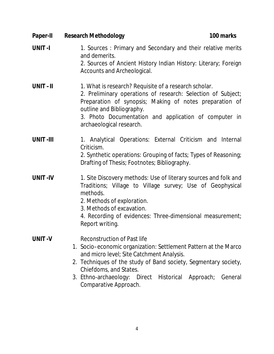| <b>Research Methodology</b><br>100 marks                                                                                                                                                                                                                                                                                       |
|--------------------------------------------------------------------------------------------------------------------------------------------------------------------------------------------------------------------------------------------------------------------------------------------------------------------------------|
| 1. Sources: Primary and Secondary and their relative merits<br>and demerits.<br>2. Sources of Ancient History Indian History: Literary; Foreign<br>Accounts and Archeological.                                                                                                                                                 |
| 1. What is research? Requisite of a research scholar.<br>2. Preliminary operations of research: Selection of Subject;<br>Preparation of synopsis; Making of notes preparation of<br>outline and Bibliography.<br>3. Photo Documentation and application of computer in<br>archaeological research.                             |
| 1. Analytical Operations: External Criticism and Internal<br>Criticism.<br>2. Synthetic operations: Grouping of facts; Types of Reasoning;<br>Drafting of Thesis; Footnotes; Bibliography.                                                                                                                                     |
| 1. Site Discovery methods: Use of literary sources and folk and<br>Traditions; Village to Village survey; Use of Geophysical<br>methods.<br>2. Methods of exploration.<br>3. Methods of excavation.<br>4. Recording of evidences: Three-dimensional measurement;<br>Report writing.                                            |
| Reconstruction of Past life<br>1. Socio–economic organization: Settlement Pattern at the Marco<br>and micro level; Site Catchment Analysis.<br>2. Techniques of the study of Band society, Segmentary society,<br>Chiefdoms, and States.<br>3. Ethno-archaeology: Direct Historical Approach; General<br>Comparative Approach. |
|                                                                                                                                                                                                                                                                                                                                |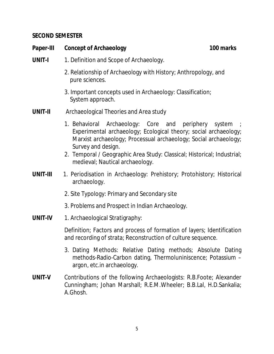## **SECOND SEMESTER**

| Paper-III      | <b>Concept of Archaeology</b>                                                                                                                                                                                                                                                                                                    | 100 marks |
|----------------|----------------------------------------------------------------------------------------------------------------------------------------------------------------------------------------------------------------------------------------------------------------------------------------------------------------------------------|-----------|
| <b>UNIT-I</b>  | 1. Definition and Scope of Archaeology.                                                                                                                                                                                                                                                                                          |           |
|                | 2. Relationship of Archaeology with History; Anthropology, and<br>pure sciences.                                                                                                                                                                                                                                                 |           |
|                | 3. Important concepts used in Archaeology: Classification;<br>System approach.                                                                                                                                                                                                                                                   |           |
| <b>UNIT-II</b> | Archaeological Theories and Area study                                                                                                                                                                                                                                                                                           |           |
|                | 1. Behavioral Archaeology: Core and periphery system<br>Experimental archaeology; Ecological theory; social archaeology;<br>Marxist archaeology; Processual archaeology; Social archaeology;<br>Survey and design.<br>2. Temporal / Geographic Area Study: Classical; Historical; Industrial;<br>medieval; Nautical archaeology. |           |
| UNIT-III       | 1. Periodisation in Archaeology: Prehistory; Protohistory; Historical<br>archaeology.                                                                                                                                                                                                                                            |           |
|                | 2. Site Typology: Primary and Secondary site                                                                                                                                                                                                                                                                                     |           |
|                | 3. Problems and Prospect in Indian Archaeology.                                                                                                                                                                                                                                                                                  |           |
| UNIT-IV        | 1. Archaeological Stratigraphy:                                                                                                                                                                                                                                                                                                  |           |
|                | Definition; Factors and process of formation of layers; Identification<br>and recording of strata; Reconstruction of culture sequence.                                                                                                                                                                                           |           |
|                | 3. Dating Methods: Relative Dating methods; Absolute Dating<br>methods-Radio-Carbon dating, Thermoluniniscence; Potassium -<br>argon, etc.in archaeology.                                                                                                                                                                        |           |
| UNIT-V         | Contributions of the following Archaeologists: R.B.Foote; Alexander<br>Cunningham; Johan Marshall; R.E.M.Wheeler; B.B.Lal, H.D.Sankalia;<br>A.Ghosh.                                                                                                                                                                             |           |